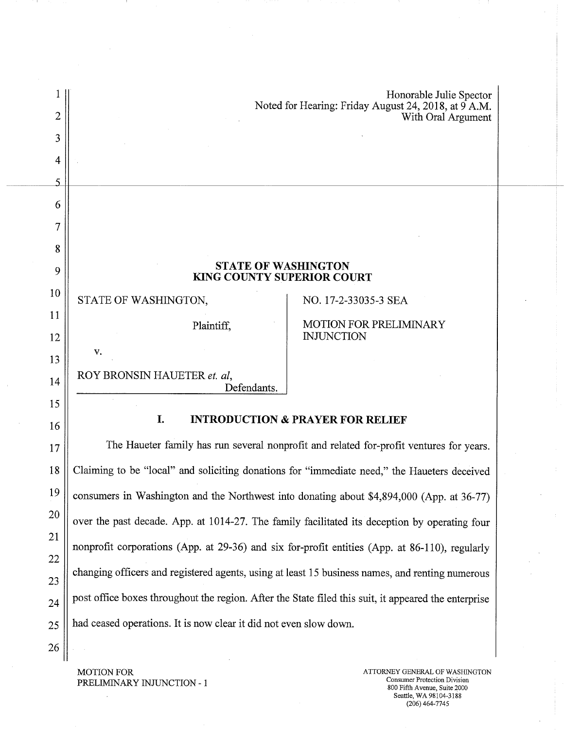|    |                                                                                                      | Honorable Julie Spector<br>Noted for Hearing: Friday August 24, 2018, at 9 A.M. |  |
|----|------------------------------------------------------------------------------------------------------|---------------------------------------------------------------------------------|--|
| 2  |                                                                                                      | With Oral Argument                                                              |  |
| 3  |                                                                                                      |                                                                                 |  |
| 4  |                                                                                                      |                                                                                 |  |
| 5  |                                                                                                      |                                                                                 |  |
| 6  |                                                                                                      |                                                                                 |  |
| 7  |                                                                                                      |                                                                                 |  |
| 8  |                                                                                                      |                                                                                 |  |
| 9  | <b>STATE OF WASHINGTON</b><br>KING COUNTY SUPERIOR COURT                                             |                                                                                 |  |
| 10 | STATE OF WASHINGTON,                                                                                 | NO. 17-2-33035-3 SEA                                                            |  |
| 11 | Plaintiff,                                                                                           | <b>MOTION FOR PRELIMINARY</b>                                                   |  |
| 12 | v.                                                                                                   | <b>INJUNCTION</b>                                                               |  |
| 13 | ROY BRONSIN HAUETER et. al,                                                                          |                                                                                 |  |
| 14 | Defendants.                                                                                          |                                                                                 |  |
| 15 | I.<br><b>INTRODUCTION &amp; PRAYER FOR RELIEF</b>                                                    |                                                                                 |  |
| 16 |                                                                                                      |                                                                                 |  |
| 17 | The Haueter family has run several nonprofit and related for-profit ventures for years.              |                                                                                 |  |
| 18 | Claiming to be "local" and soliciting donations for "immediate need," the Haueters deceived          |                                                                                 |  |
| 19 | consumers in Washington and the Northwest into donating about \$4,894,000 (App. at 36-77)            |                                                                                 |  |
| 20 | over the past decade. App. at 1014-27. The family facilitated its deception by operating four        |                                                                                 |  |
| 21 | nonprofit corporations (App. at 29-36) and six for-profit entities (App. at 86-110), regularly       |                                                                                 |  |
| 22 | changing officers and registered agents, using at least 15 business names, and renting numerous      |                                                                                 |  |
| 23 | post office boxes throughout the region. After the State filed this suit, it appeared the enterprise |                                                                                 |  |
| 24 |                                                                                                      |                                                                                 |  |
| 25 | had ceased operations. It is now clear it did not even slow down.                                    |                                                                                 |  |
| 26 |                                                                                                      |                                                                                 |  |

MOTION FOR PRELIMINARY INJUNCTION - I

 $\ddot{\phantom{a}}$ 

ATTORNEY GENERAL OF WASHINGTON Consumer Protection Division 800 Fifth Avenue, Suite 2000 Seattle, WA 98104-3188 (206)464-7745

- 1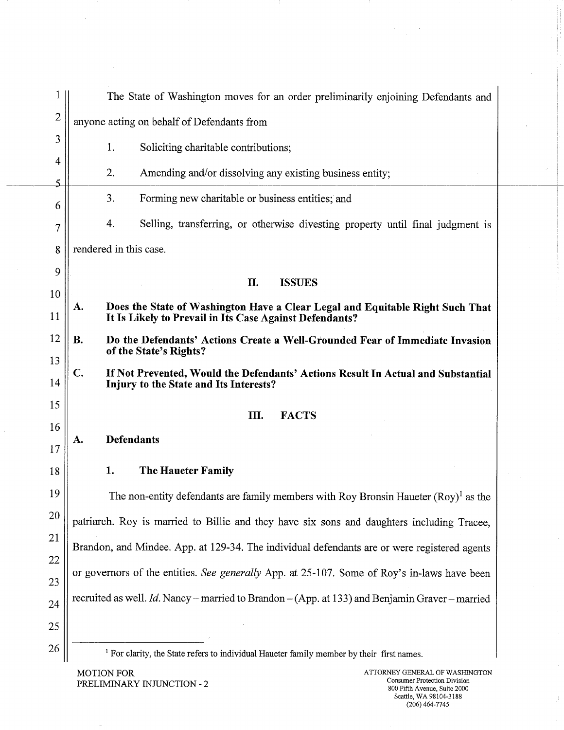| 1              | The State of Washington moves for an order preliminarily enjoining Defendants and                                                              |  |  |
|----------------|------------------------------------------------------------------------------------------------------------------------------------------------|--|--|
| $\overline{2}$ | anyone acting on behalf of Defendants from                                                                                                     |  |  |
| 3              | 1.<br>Soliciting charitable contributions;                                                                                                     |  |  |
| 4<br>5         | 2.<br>Amending and/or dissolving any existing business entity;                                                                                 |  |  |
| 6              | 3.<br>Forming new charitable or business entities; and                                                                                         |  |  |
| 7              | 4.<br>Selling, transferring, or otherwise divesting property until final judgment is                                                           |  |  |
| 8              | rendered in this case.                                                                                                                         |  |  |
| 9              | П.<br><b>ISSUES</b>                                                                                                                            |  |  |
| 10<br>11       | Does the State of Washington Have a Clear Legal and Equitable Right Such That<br>A.<br>It Is Likely to Prevail in Its Case Against Defendants? |  |  |
| 12<br>13       | <b>B.</b><br>Do the Defendants' Actions Create a Well-Grounded Fear of Immediate Invasion<br>of the State's Rights?                            |  |  |
| 14             | C.<br>If Not Prevented, Would the Defendants' Actions Result In Actual and Substantial<br>Injury to the State and Its Interests?               |  |  |
| 15             | Ш.<br><b>FACTS</b>                                                                                                                             |  |  |
| 16             | <b>Defendants</b><br>A.                                                                                                                        |  |  |
| 17             |                                                                                                                                                |  |  |
| 18             | 1.<br><b>The Haueter Family</b>                                                                                                                |  |  |
| 19             | The non-entity defendants are family members with Roy Bronsin Haueter $(Roy)^{1}$ as the                                                       |  |  |
| 20             | patriarch. Roy is married to Billie and they have six sons and daughters including Tracee,                                                     |  |  |
| 21             | Brandon, and Mindee. App. at 129-34. The individual defendants are or were registered agents                                                   |  |  |
| 22             | or governors of the entities. See generally App. at 25-107. Some of Roy's in-laws have been                                                    |  |  |
| 23             |                                                                                                                                                |  |  |
| 24             | recruited as well. Id. Nancy – married to Brandon – (App. at 133) and Benjamin Graver – married                                                |  |  |
| 25             |                                                                                                                                                |  |  |
| 26             | <sup>1</sup> For clarity, the State refers to individual Haueter family member by their first names.                                           |  |  |

MOTION FOR ATTORNEY GENERAL OF WASHINGTON PRELIMINARY INJUNCTION - 2

 $\bar{\phantom{a}}$ 

Å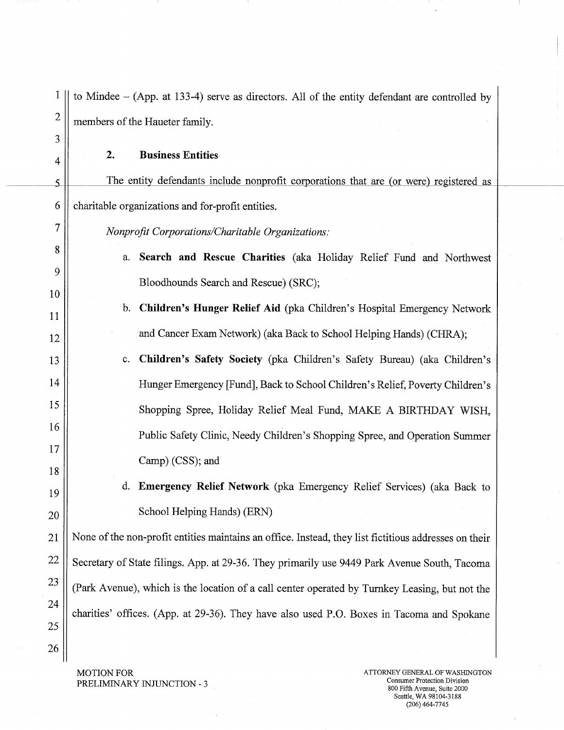| 1                   | to Mindee $-$ (App. at 133-4) serve as directors. All of the entity defendant are controlled by       |  |
|---------------------|-------------------------------------------------------------------------------------------------------|--|
| $\overline{c}$<br>3 | members of the Haueter family.                                                                        |  |
| 4                   | <b>Business Entities</b><br>2.                                                                        |  |
| 5                   | The entity defendants include nonprofit corporations that are (or were) registered as                 |  |
| 6                   | charitable organizations and for-profit entities.                                                     |  |
| 7                   | Nonprofit Corporations/Charitable Organizations:                                                      |  |
| 8                   | Search and Rescue Charities (aka Holiday Relief Fund and Northwest<br>a.                              |  |
| 9                   | Bloodhounds Search and Rescue) (SRC);                                                                 |  |
| 10<br>11            | b. Children's Hunger Relief Aid (pka Children's Hospital Emergency Network                            |  |
| 12                  | and Cancer Exam Network) (aka Back to School Helping Hands) (CHRA);                                   |  |
| 13                  | Children's Safety Society (pka Children's Safety Bureau) (aka Children's<br>c.                        |  |
| 14                  | Hunger Emergency [Fund], Back to School Children's Relief, Poverty Children's                         |  |
| 15                  | Shopping Spree, Holiday Relief Meal Fund, MAKE A BIRTHDAY WISH,                                       |  |
| 16                  | Public Safety Clinic, Needy Children's Shopping Spree, and Operation Summer                           |  |
| 17                  | Camp) (CSS); and                                                                                      |  |
| 18                  | d. Emergency Relief Network (pka Emergency Relief Services) (aka Back to                              |  |
| 19<br>20            | School Helping Hands) (ERN)                                                                           |  |
| 21                  |                                                                                                       |  |
| 22                  | None of the non-profit entities maintains an office. Instead, they list fictitious addresses on their |  |
| 23                  | Secretary of State filings. App. at 29-36. They primarily use 9449 Park Avenue South, Tacoma          |  |
| 24                  | (Park Avenue), which is the location of a call center operated by Turnkey Leasing, but not the        |  |
| 25                  | charities' offices. (App. at 29-36). They have also used P.O. Boxes in Tacoma and Spokane             |  |
| 26                  |                                                                                                       |  |
|                     |                                                                                                       |  |

MOTION FOR PRELIMINARY INJUNCTION - 3

 $\bar{z}$ 

- 1

 $\ddot{\phantom{0}}$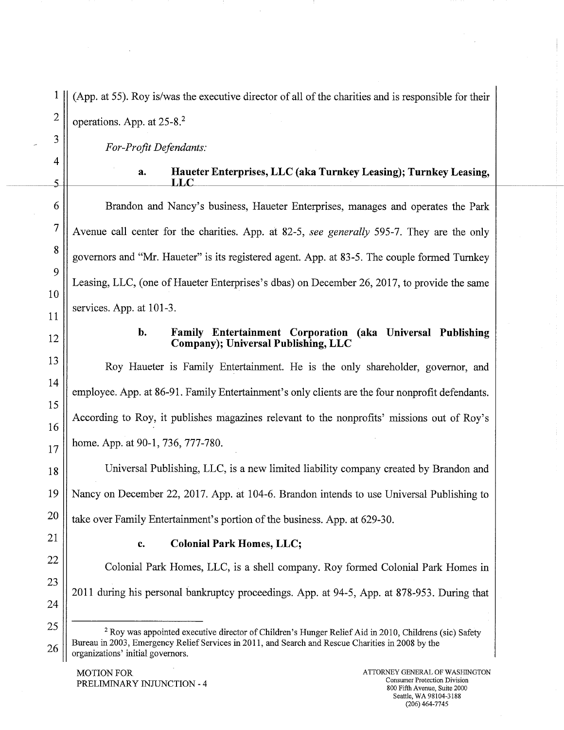(App. at 55). Roy is/was the executive director of all of the charities and is responsible for their operations. App. at 25-8.2

*For-Profit Defendants:* 

#### **a. Haueter Enterprises, LLC (aka Turnkey Leasing); Turnkey Leasing, T,T.0**

Brandon and Nancy's business, Haueter Enterprises, manages and operates the Park Avenue call center for the charities. App. at 82-5, *see generally* 595-7. They are the only governors and "Mr. Haueter" is its registered agent. App. at 83-5. The couple formed Turnkey Leasing, LLC, (one of Haueter Enterprises's dbas) on December 26, 2017, to provide the same services. App. at 101-3.

12

1

2

3

4

 $\overline{5}$ 

**6** 

**7** 

**8** 

9

10

11

13

14

15

16

17

18

19

20

21

22

23

24

25

26

#### **b. Family Entertainment Corporation (aka Universal Publishing Company); Universal Publishing, LLC**

Roy Haueter is Family Entertainment. He is the only shareholder, governor, and employee. App. at 86-91. Family Entertainment's only clients are the four nonprofit defendants. According to Roy, it publishes magazines relevant to the nonprofits' missions out of Roy's home. App. at 90-1, 736, 777-780.

Universal Publishing, LLC, is a new limited liability company created by Brandon and Nancy on December 22, 2017. App. at 104-6. Brandon intends to use Universal Publishing to take over Family Entertainment's portion of the business. App. at 629-30.

#### **C. Colonial Park Homes, LLC;**

Colonial Park Homes, LLC, is a shell company. Roy formed Colonial Park Homes in 2011 during his personal bankruptcy proceedings. App. at 94-5, App. at 878-953. During that

<sup>&</sup>lt;sup>2</sup> Roy was appointed executive director of Children's Hunger Relief Aid in 2010, Childrens (sic) Safety Bureau in 2003, Emergency Relief Services in 2011, and Search and Rescue Charities in 2008 by the organizations' initial governors.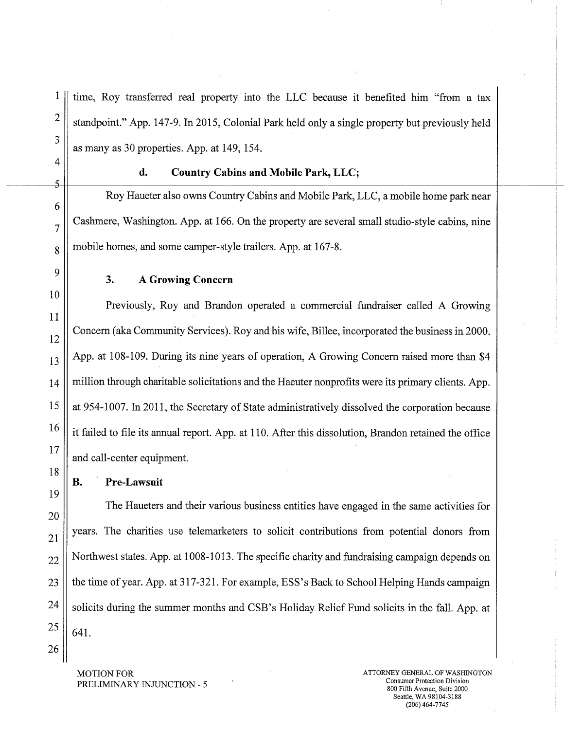1 time, Roy transferred real property into the LLC because it benefited him "from a tax 2  $\parallel$  standpoint." App. 147-9. In 2015, Colonial Park held only a single property but previously held as many as 30 properties. App. at 149, 154.

3

4

6

10

11

12

17

18

19

#### **d. Country Cabins and Mobile Park, LLC; 5 -** --- -- -

Roy Haueter also owns Country Cabins and Mobile Park, LLC, a mobile home park near  $7 \parallel$  Cashmere, Washington. App. at 166. On the property are several small studio-style cabins, nine  $8 \parallel$  mobile homes, and some camper-style trailers. App. at 167-8.

## **9 3. A Growing Concern**

Previously, Roy and Brandon operated a commercial fundraiser called A Growing Concern (aka Community Services). Roy and his wife, Billee, incorporated the business in 2000.  $_{13}$  || App. at 108-109. During its nine years of operation, A Growing Concern raised more than \$4 14 million through charitable solicitations and the Haeuter nonprofits were its primary clients. App. 15 at 954-1007. In 2011, the Secretary of State administratively dissolved the corporation because  $\frac{16}{\text{}}$  it failed to file its annual report. App. at 110. After this dissolution, Brandon retained the office and call-center equipment.

**B. Pre-Lawsuit** 

The Haueters and their various business entities have engaged in the same activities for 20  $21$  years. The charities use telemarketers to solicit contributions from potential donors from  $22$  Northwest states. App. at 1008-1013. The specific charity and fundraising campaign depends on 23 | the time of year. App. at 317-321. For example, ESS's Back to School Helping Hands campaign  $24 \parallel$  solicits during the summer months and CSB's Holiday Relief Fund solicits in the fall. App. at  $25 \parallel 641.$ 

26

PRELIMINARY INJUNCTION - 5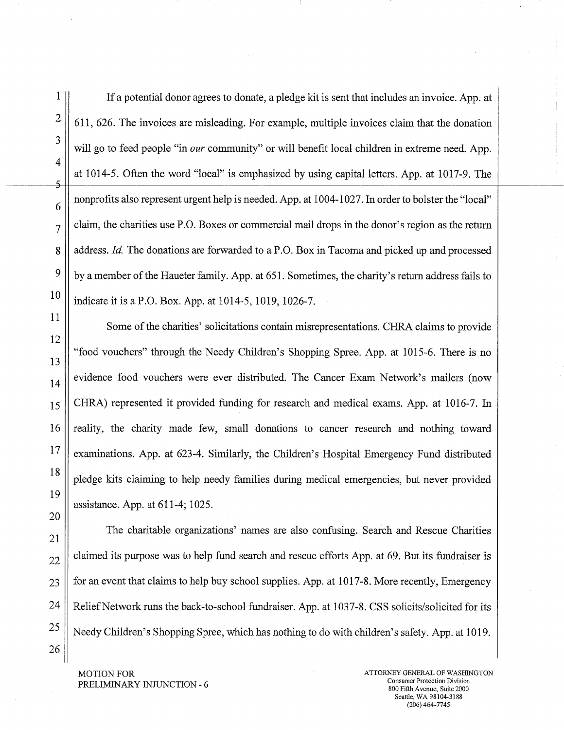1 If a potential donor agrees to donate, a pledge kit is sent that includes an invoice. App. at  $2 \parallel 611, 626$ . The invoices are misleading. For example, multiple invoices claim that the donation will go to feed people "in *our* community" or will benefit local children in extreme need. App. at 1014-5. Often the word "local" is emphasized by using capital letters. App. at 1017-9. The nonprofits also represent urgent help is needed. App. at 1004-1027. In order to bolster the "local"  $7 \parallel$  claim, the charities use P.O. Boxes or commercial mail drops in the donor's region as the return 8 | address. *Id.* The donations are forwarded to a P.O. Box in Tacoma and picked up and processed  $9 \parallel$  by a member of the Haueter family. App. at 651. Sometimes, the charity's return address fails to  $10$  || indicate it is a P.O. Box. App. at 1014-5, 1019, 1026-7.

Some of the charities' solicitations contain misrepresentations. CHRA claims to provide "food vouchers" through the Needy Children's Shopping Spree. App. at 1015-6. There is no  $\begin{bmatrix} 14 \end{bmatrix}$  evidence food vouchers were ever distributed. The Cancer Exam Network's mailers (now 15 CHRA) represented it provided funding for research and medical exams. App. at 1016-7. In 16 T reality, the charity made few, small donations to cancer research and nothing toward  $\frac{17}{8}$  examinations. App. at 623-4. Similarly, the Children's Hospital Emergency Fund distributed  $\frac{18}{9}$  pledge kits claiming to help needy families during medical emergencies, but never provided assistance. App. at 611-4; 1025.

The charitable organizations' names are also confusing. Search and Rescue Charities  $22$  | claimed its purpose was to help fund search and rescue efforts App. at 69. But its fundraiser is  $23$  || for an event that claims to help buy school supplies. App. at 1017-8. More recently, Emergency 24 | Relief Network runs the back-to-school fundraiser. App. at 1037-8. CSS solicits/solicited for its  $25$  || Needy Children's Shopping Spree, which has nothing to do with children's safety. App. at 1019.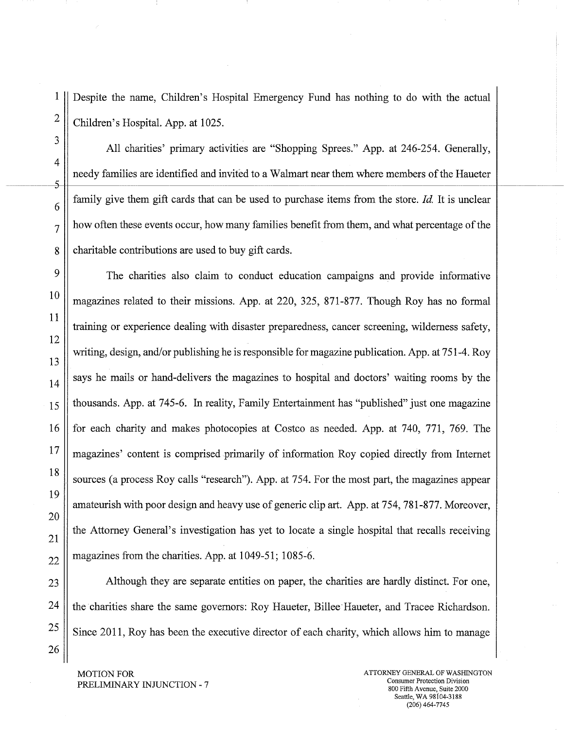1 Despite the name, Children's Hospital Emergency Fund has nothing to do with the actual  $2 \parallel$  Children's Hospital. App. at 1025.

All charities' primary activities are "Shopping Sprees." App. at 246-254. Generally, needy families are identified and invited to a Walmart near them where members of the Haueter  $\frac{1}{6}$  family give them gift cards that can be used to purchase items from the store. *Id.* It is unclear  $7 \parallel$  how often these events occur, how many families benefit from them, and what percentage of the 8 charitable contributions are used to buy gift cards.

<sup>9</sup> The charities also claim to conduct education campaigns and provide informative 10  $\parallel$  magazines related to their missions. App. at 220, 325, 871-877. Though Roy has no formal training or experience dealing with disaster preparedness, cancer screening, wilderness safety, writing, design, and/or publishing he is responsible for magazine publication. App. at 751-4. Roy  $\begin{bmatrix} 14 \end{bmatrix}$  says he mails or hand-delivers the magazines to hospital and doctors' waiting rooms by the  $15$  || thousands. App. at 745-6. In reality, Family Entertainment has "published" just one magazine 16 for each charity and makes photocopies at Costco as needed. App. at 740, 771, 769. The 17 magazines' content is comprised primarily of information Roy copied directly from Internet 18 | sources (a process Roy calls "research"). App. at 754. For the most part, the magazines appear amateurish with poor design and heavy use of generic clip art. App. at 754, 781-877. Moreover,  $21$  the Attorney General's investigation has yet to locate a single hospital that recalls receiving  $22$  magazines from the charities. App. at 1049-51; 1085-6.

23 Although they are separate entities on paper, the charities are hardly distinct. For one, 24 the charities share the same governors: Roy Haueter, Billee Haueter, and Tracee Richardson.  $25 \parallel$  Since 2011, Roy has been the executive director of each charity, which allows him to manage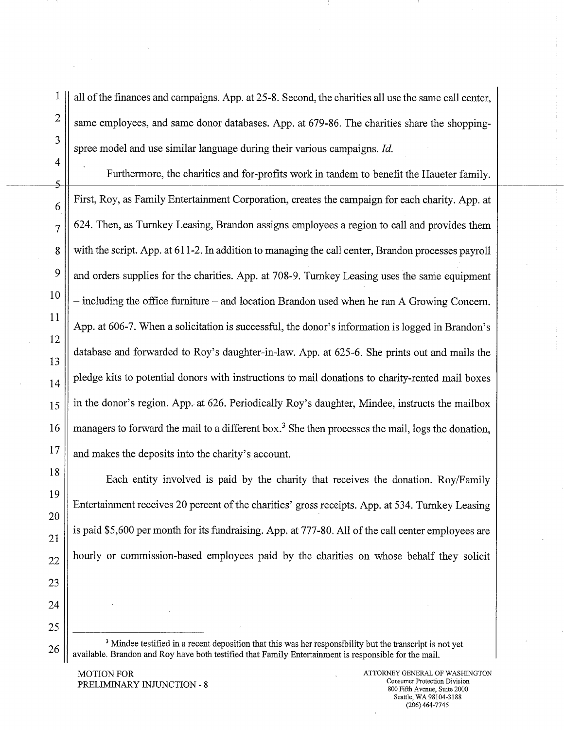all of the finances and campaigns. App. at 25-8. Second, the charities all use the same call center, same employees, and same donor databases. App. at 679-86. The charities share the shoppingspree model and use similar language during their various campaigns. *Id.* 

Furthermore, the charities and for-profits work in tandem to benefit the Haueter family. First, Roy, as Family Entertainment Corporation, creates the campaign for each charity. App. at 624. Then, as Turnkey Leasing, Brandon assigns employees a region to call and provides them with the script. App. at 611-2. In addition to managing the call center, Brandon processes payroll and orders supplies for the charities. App. at 708-9. Turnkey Leasing uses the same equipment — including the office furniture — and location Brandon used when he ran A Growing Concern. App. at 606-7. When a solicitation is successful, the donor's information is logged in Brandon's database and forwarded to Roy's daughter-in-law. App. at 625-6. She prints out and mails the pledge kits to potential donors with instructions to mail donations to charity-rented mail boxes in the donor's region. App. at 626. Periodically Roy's daughter, Mindee, instructs the mailbox managers to forward the mail to a different box.<sup>3</sup> She then processes the mail, logs the donation, and makes the deposits into the charity's account.

Each entity involved is paid by the charity that receives the donation. Roy/Family Entertainment receives 20 percent of the charities' gross receipts. App. at 534. Turnkey Leasing is paid \$5,600 per month for its fundraising. App. at 777-80. All of the call center employees are hourly or commission-based employees paid by the charities on whose behalf they solicit

<sup>3</sup> Mindee testified in a recent deposition that this was her responsibility but the transcript is not yet available. Brandon and Roy have both testified that Family Entertainment is responsible for the mail.

MOTION FOR PRELIMINARY INJUNCTION - 8

26

1

2

3

4

5

15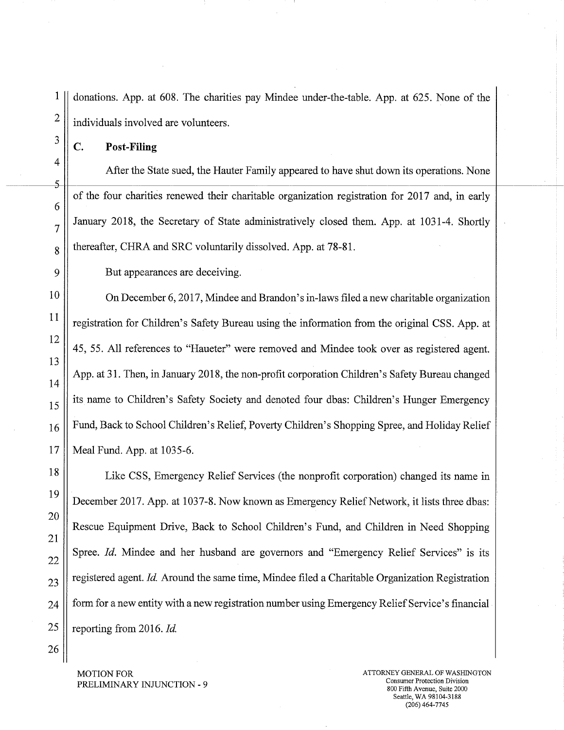1 donations. App. at 608. The charities pay Mindee under-the-table. App. at 625. None of the  $2 \parallel$  individuals involved are volunteers.

 $\frac{3}{\pi}$  C. Post-Filing

4

6

After the State sued, the Hauter Family appeared to have shut down its operations. None  $5$ of the four charities renewed their charitable organization registration for 2017 and, in early  $7$  January 2018, the Secretary of State administratively closed them. App. at 1031-4. Shortly  $8 \parallel$  thereafter, CHRA and SRC voluntarily dissolved. App. at 78-81.

9 || But appearances are deceiving.

10 | On December 6, 2017, Mindee and Brandon's in-laws filed a new charitable organization  $\left\| \frac{11}{11} \right\|$  registration for Children's Safety Bureau using the information from the original CSS. App. at 12 45, 55. All references to "Haueter" were removed and Mindee took over as registered agent. 13 14 App. at 31. Then, in January 2018, the non-profit corporation Children's Safety Bureau changed 15 its name to Children's Safety Society and denoted four dbas: Children's Hunger Emergency  $_{16}$  | Fund, Back to School Children's Relief, Poverty Children's Shopping Spree, and Holiday Relief 17 Meal Fund. App. at 1035-6.

18 | Like CSS, Emergency Relief Services (the nonprofit corporation) changed its name in 19 December 2017. App. at 1037-8. Now known as Emergency Relief Network, it lists three dbas: 20 Rescue Equipment Drive, Back to School Children's Fund, and Children in Need Shopping 21 22 Spree. *Id.* Mindee and her husband are governors and "Emergency Relief Services" is its  $23$  registered agent. *Id.* Around the same time, Mindee filed a Charitable Organization Registration  $24$   $\parallel$  form for a new entity with a new registration number using Emergency Relief Service's financial 25 | reporting from 2016. *Id.* 

26

PRELIMINARY INJUNCTION - 9

MOTION FOR ATTORNEY GENERAL OF WASHINGTON AND AND ALL AND ALL AND ATTORNEY GENERAL OF WASHINGTON 800 Fifth Avenue, Suite 2000 Seattle, WA 98104-3188 (206)464-7745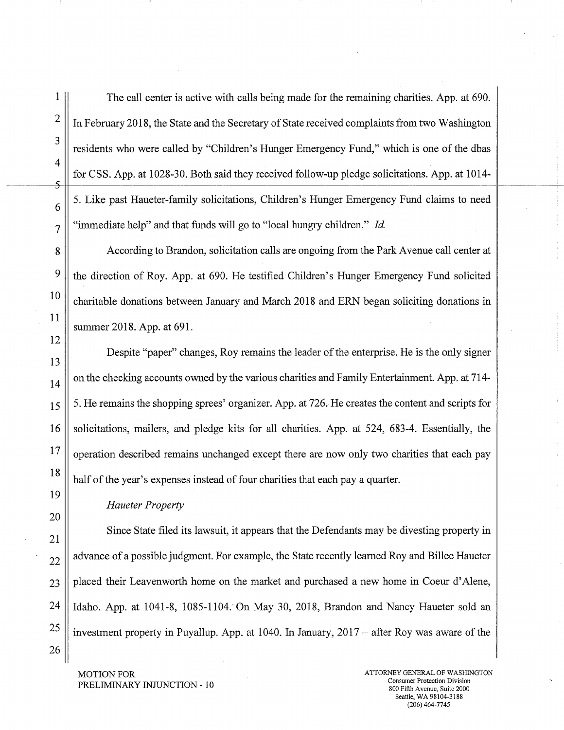1 The call center is active with calls being made for the remaining charities. App. at 690.  $2 \parallel$  In February 2018, the State and the Secretary of State received complaints from two Washington residents who were called by "Children's Hunger Emergency Fund," which is one of the dbas for CSS. App. at 1028-30. Both said they received follow-up pledge solicitations. App. at 1014-  $6 \parallel 5$ . Like past Haueter-family solicitations, Children's Hunger Emergency Fund claims to need  $7 \parallel$  "immediate help" and that funds will go to "local hungry children." *Id.* 

8 According to Brandon, solicitation calls are ongoing from the Park Avenue call center at  $9 \parallel$  the direction of Roy. App. at 690. He testified Children's Hunger Emergency Fund solicited <sup>10</sup> charitable donations between January and March 2018 and ERN began soliciting donations in summer 2018. App. at 691.

Despite "paper" changes, Roy remains the leader of the enterprise. He is the only signer  $\|14\|$  on the checking accounts owned by the various charities and Family Entertainment. App. at 714- $15 \parallel 5$ . He remains the shopping sprees' organizer. App. at 726. He creates the content and scripts for 16 Solicitations, mailers, and pledge kits for all charities. App. at 524, 683-4. Essentially, the  $\lvert$  operation described remains unchanged except there are now only two charities that each pay 18  $\parallel$  half of the year's expenses instead of four charities that each pay a quarter.

#### *Haueter Property*

Since State filed its lawsuit, it appears that the Defendants may be divesting property in  $\parallel$  advance of a possible judgment. For example, the State recently learned Roy and Billee Haueter || placed their Leavenworth home on the market and purchased a new home in Coeur d'Alene, | Idaho. App. at 1041-8, 1085-1104. On May 30, 2018, Brandon and Nancy Haueter sold an || investment property in Puyallup. App. at 1040. In January, 2017 – after Roy was aware of the

<sup>26</sup>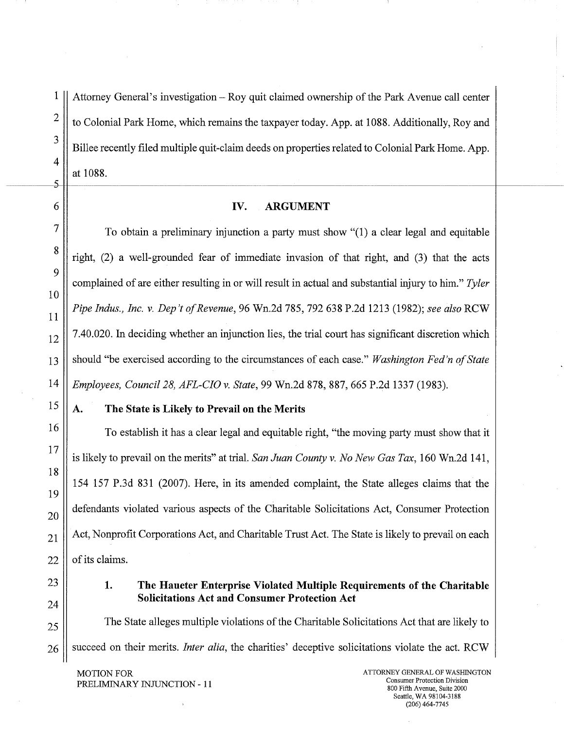1

Attorney General's investigation - Roy quit claimed ownership of the Park Avenue call center to Colonial Park Home, which remains the taxpayer today. App. at 1088. Additionally, Roy and Billee recently filed multiple quit-claim deeds on properties related to Colonial Park Home. App. at 1088.

#### IV. **ARGUMENT**

To obtain a preliminary injunction a party must show "(1) a clear legal and equitable right, (2) a well-grounded fear of immediate invasion of that right, and (3) that the acts complained of are either resulting in or will result in actual and substantial injury to him." *Tyler Pipe Indus., Inc. v. Dep't of Revenue,* 96 Wn.2d 785, 792 638 P.2d 1213 (1982); *see also* RCW 7.40.020. In deciding whether an injunction lies, the trial court has significant discretion which should "be exercised according to the circumstances of each case." *Washington Fed'n of State Employees, Council 28, AFL-CIO v. State,* 99 Wn.2d 878, 887, 665 P.2d 1337 (1983).

#### **A. The State is Likely to Prevail on the Merits**

To establish it has a clear legal and equitable right, "the moving parry must show that it is likely to prevail on the merits" at trial. *San Juan County v. No New Gas Tax,* 160 Wn.2d 141, 154 157 P.3d 831 (2007). Here, in its amended complaint, the State alleges claims that the defendants violated various aspects of the Charitable Solicitations Act, Consumer Protection Act, Nonprofit Corporations Act, and Charitable Trust Act. The State is likely to prevail on each of its claims.

### **1. The Haueter Enterprise Violated Multiple Requirements of the Charitable Solicitations Act and Consumer Protection Act**

The State alleges multiple violations of the Charitable Solicitations Act that are likely to succeed on their merits. *Inter alia,* the charities' deceptive solicitations violate the act. RCW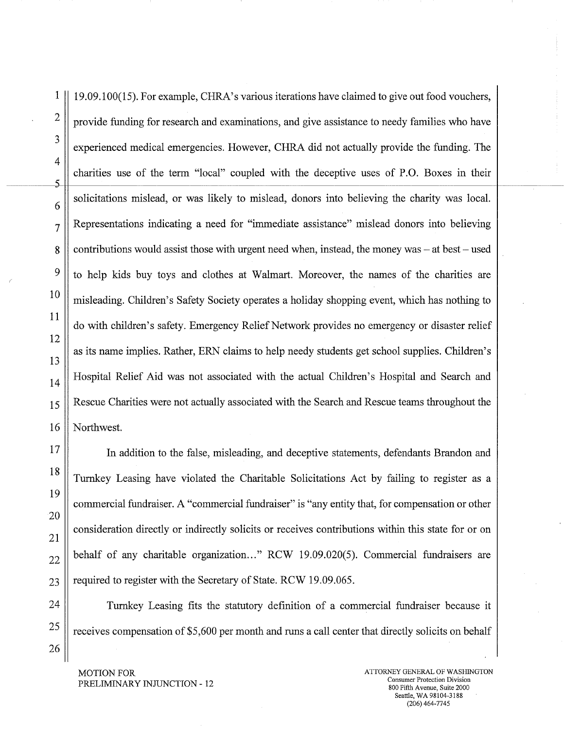1 19.09.100(15). For example, CHRA's various iterations have claimed to give out food vouchers,  $2 \parallel$  provide funding for research and examinations, and give assistance to needy families who have experienced medical emergencies. However, CHRA did not actually provide the funding. The charities use of the term "local" coupled with the deceptive uses of P.O. Boxes in their  $\left| \begin{array}{c} 6 \end{array} \right|$  solicitations mislead, or was likely to mislead, donors into believing the charity was local.  $7 \parallel$  Representations indicating a need for "immediate assistance" mislead donors into believing 8 contributions would assist those with urgent need when, instead, the money was – at best – used  $9 \parallel$  to help kids buy toys and clothes at Walmart. Moreover, the names of the charities are <sup>10</sup> misleading. Children's Safety Society operates a holiday shopping event, which has nothing to do with children's safety. Emergency Relief Network provides no emergency or disaster relief as its name implies. Rather, ERN claims to help needy students get school supplies. Children's  $_{14}$  Hospital Relief Aid was not associated with the actual Children's Hospital and Search and  $15$  Rescue Charities were not actually associated with the Search and Rescue teams throughout the 16 || Northwest.

<sup>17</sup> In addition to the false, misleading, and deceptive statements, defendants Brandon and 18 Turnkey Leasing have violated the Charitable Solicitations Act by failing to register as a commercial fundraiser. A "commercial fundraiser" is "any entity that, for compensation or other consideration directly or indirectly solicits or receives contributions within this state for or on  $_{22}$  behalf of any charitable organization..." RCW 19.09.020(5). Commercial fundraisers are  $23$  | required to register with the Secretary of State. RCW 19.09.065.

24 Turnkey Leasing fits the statutory definition of a commercial fundraiser because it 25  $\parallel$  receives compensation of \$5,600 per month and runs a call center that directly solicits on behalf

MOTION FOR PRELIMINARY INJUNCTION - 12

3

4

5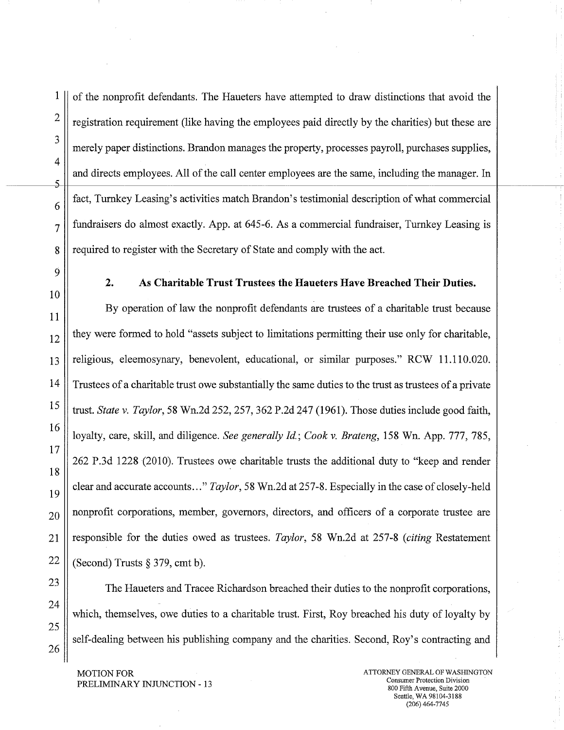26

3

4

5-

 $1 \parallel$  of the nonprofit defendants. The Haueters have attempted to draw distinctions that avoid the  $2 \parallel$  registration requirement (like having the employees paid directly by the charities) but these are merely paper distinctions. Brandon manages the property, processes payroll, purchases supplies, and directs employees. All of the call center employees are the same, including the manager. In fact, Turnkey Leasing's activities match Brandon's testimonial description of what commercial  $7 \parallel$  fundraisers do almost exactly. App. at 645-6. As a commercial fundraiser, Turnkey Leasing is 8 | required to register with the Secretary of State and comply with the act.

**2. As Charitable Trust Trustees the Haueters Have Breached Their Duties.** 

By operation of law the nonprofit defendants are trustees of a charitable trust because  $\frac{12}{12}$  they were formed to hold "assets subject to limitations permitting their use only for charitable, 13 religious, eleemosynary, benevolent, educational, or similar purposes." RCW 11.110.020. 14 Trustees of a charitable trust owe substantially the same duties to the trust as trustees of a private 15 trust. *State v. Taylor,* 58 Wn.2d 252, 257, 362 P.2d 247 (1961). Those duties include good faith, loyalty, care, skill, and diligence. *See generally Id.; Cook v. Brateng,* 158 Wn. App. 777, 785, 262 P.3d 1228 (2010). Trustees owe charitable trusts the additional duty to "keep and render clear and accurate accounts..." *Taylor,* 58 Wn.2d at 257-8. Especially in the case of closely-held  $_{20}$  | nonprofit corporations, member, governors, directors, and officers of a corporate trustee are 21 responsible for the duties owed as trustees. *Taylor,* 58 Wn.2d at 257-8 *(citing* Restatement 22  $\parallel$  (Second) Trusts § 379, cmt b).

<sup>23</sup> The Haueters and Tracee Richardson breached their duties to the nonprofit corporations, which, themselves, owe duties to a charitable trust. First, Roy breached his duty of loyalty by self-dealing between his publishing company and the charities. Second, Roy's contracting and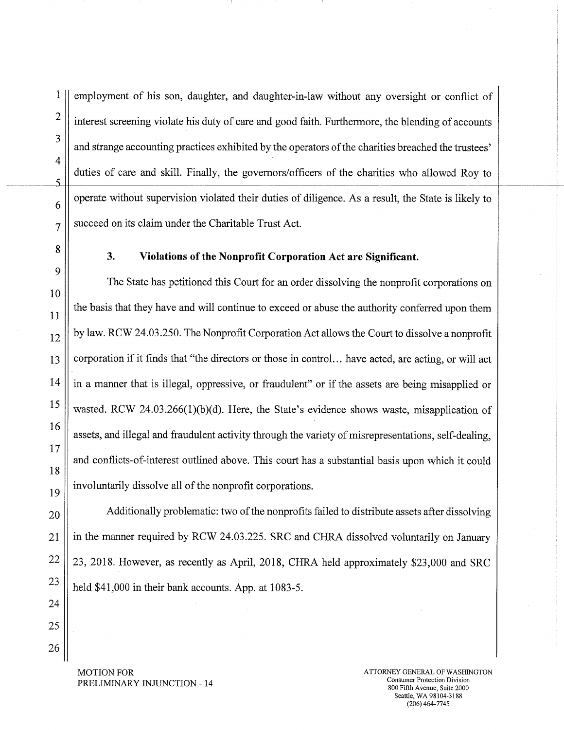employment of his son, daughter, and daughter-in-law without any oversight or conflict of interest screening violate his duty of care and good faith. Furthermore, the blending of accounts and strange accounting practices exhibited by the operators of the charities breached the trustees' duties of care and skill. Finally, the governors/officers of the charities who allowed Roy to operate without supervision violated their duties of diligence. As a result, the State is likely to  $7 \parallel$  succeed on its claim under the Charitable Trust Act.

# <sup>8</sup>**3. Violations of the Nonprofit Corporation Act are Significant.**

The State has petitioned this Court for an order dissolving the nonprofit corporations on the basis that they have and will continue to exceed or abuse the authority conferred upon them  $\frac{12}{12}$  by law. RCW 24.03.250. The Nonprofit Corporation Act allows the Court to dissolve a nonprofit 13 || corporation if it finds that "the directors or those in control... have acted, are acting, or will act  $14$  || in a manner that is illegal, oppressive, or fraudulent" or if the assets are being misapplied or <sup>15</sup> wasted. RCW 24.03.266(1)(b)(d). Here, the State's evidence shows waste, misapplication of assets, and illegal and fraudulent activity through the variety of misrepresentations, self-dealing, and conflicts-of-interest outlined above. This court has a substantial basis upon which it could involuntarily dissolve all of the nonprofit corporations.

 $_{20}$  || Additionally problematic: two of the nonprofits failed to distribute assets after dissolving 21 | in the manner required by RCW 24.03.225. SRC and CHRA dissolved voluntarily on January  $22$  | 23, 2018. However, as recently as April, 2018, CHRA held approximately \$23,000 and SRC 23  $\parallel$  held \$41,000 in their bank accounts. App. at 1083-5.

24 25

26

6

1

 $\overline{2}$ 

3

 $\overline{4}$ 

5

9

10

11

16

17

18

19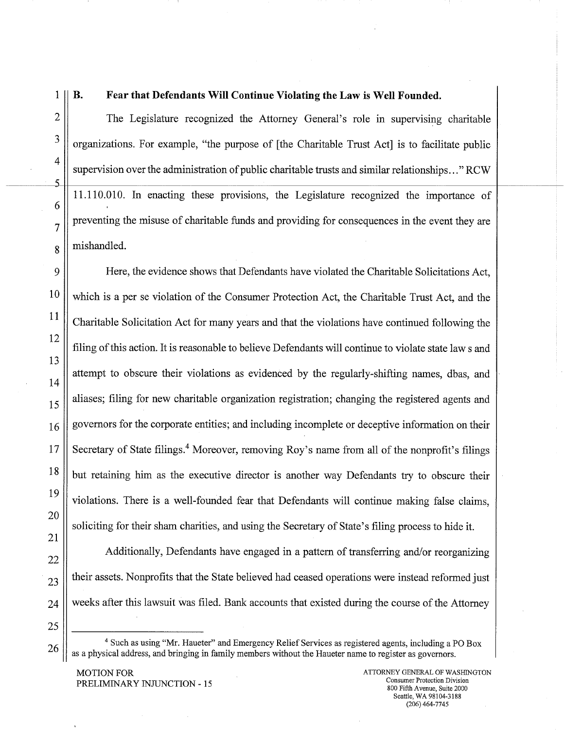26

1

#### **B. Fear that Defendants Will Continue Violating the Law is Well Founded.**

The Legislature recognized the Attorney General's role in supervising charitable organizations. For example, "the purpose of [the Charitable Trust Act] is to facilitate public supervision over the administration of public charitable trusts and similar relationships..." RCW 11.110.010. In enacting these provisions, the Legislature recognized the importance of preventing the misuse of charitable funds and providing for consequences in the event they are mishandled.

Here, the evidence shows that Defendants have violated the Charitable Solicitations Act, which is a per se violation of the Consumer Protection Act, the Charitable Trust Act, and the Charitable Solicitation Act for many years and that the violations have continued following the filing of this action. It is reasonable to believe Defendants will continue to violate state law s and attempt to obscure their violations as evidenced by the regularly-shifting names, dbas, and aliases; filing for new charitable organization registration; changing the registered agents and governors for the corporate entities; and including incomplete or deceptive information on their Secretary of State filings.<sup>4</sup> Moreover, removing Roy's name from all of the nonprofit's filings but retaining him as the executive director is another way Defendants try to obscure their violations. There is a well-founded fear that Defendants will continue making false claims, soliciting for their sham charities, and using the Secretary of State's filing process to hide it.

Additionally, Defendants have engaged in a pattern of transferring and/or reorganizing their assets. Nonprofits that the State believed had ceased operations were instead reformed just weeks after this lawsuit was filed. Bank accounts that existed during the course of the Attorney

<sup>&</sup>lt;sup>4</sup> Such as using "Mr. Haueter" and Emergency Relief Services as registered agents, including a PO Box as a physical address, and bringing in family members without the Haueter name to register as governors.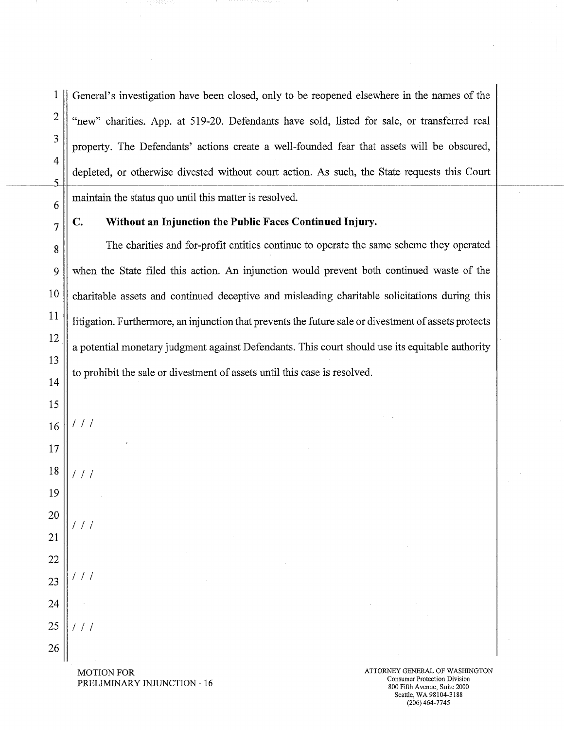1 General's investigation have been closed, only to be reopened elsewhere in the names of the  $2 \parallel$  "new" charities. App. at 519-20. Defendants have sold, listed for sale, or transferred real property. The Defendants' actions create a well-founded fear that assets will be obscured, depleted, or otherwise divested without court action. As such, the State requests this Court  $\frac{5}{5}$  $\begin{bmatrix} 6 \end{bmatrix}$  maintain the status quo until this matter is resolved.

3

4

### **7 C. Without an Injunction the Public Faces Continued Injury.**

8 The charities and for-profit entities continue to operate the same scheme they operated 9 when the State filed this action. An injunction would prevent both continued waste of the  $10$  charitable assets and continued deceptive and misleading charitable solicitations during this  $\left\| \frac{11}{11} \right\|$  litigation. Furthermore, an injunction that prevents the future sale or divestment of assets protects a potential monetary judgment against Defendants. This court should use its equitable authority to prohibit the sale or divestment of assets until this case is resolved.

12

13

14

- 19
- 20 ///
- 21 22
- 23 24
- 25  $111$

26

MOTION FOR ATTORNEY GENERAL OF WASHINGTON AND TRIVIAL ISLAMING TO A CONSUMER PROTECTION CONSUMER PROTECTION CONSUMER PROTECTION P PRELIMINARY INJUNCTION - 16 Consumer Protection Division Consumer Protection Division  $800$  Fifth Avenue, Suite 2000

Seattle, WA 98104-3188 (206)464-7745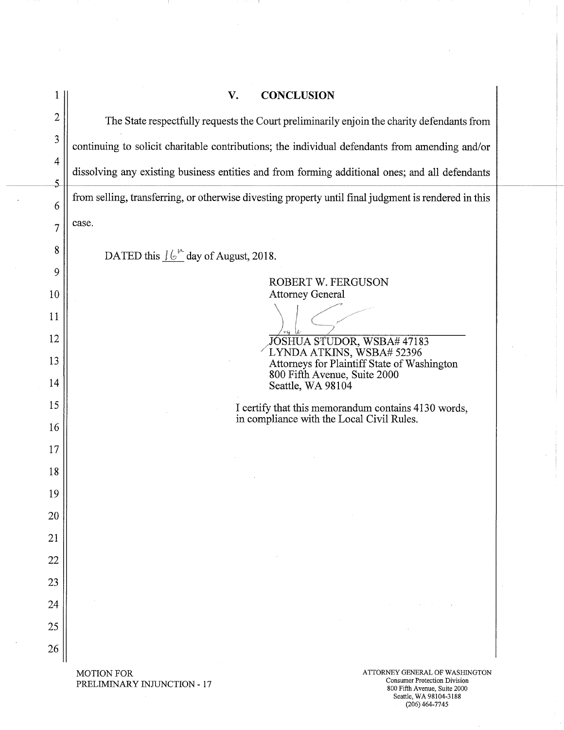|                                  | V.<br><b>CONCLUSION</b>                                                                                                                                   |  |  |
|----------------------------------|-----------------------------------------------------------------------------------------------------------------------------------------------------------|--|--|
| $\overline{c}$                   | The State respectfully requests the Court preliminarily enjoin the charity defendants from                                                                |  |  |
| 3                                | continuing to solicit charitable contributions; the individual defendants from amending and/or                                                            |  |  |
| $\overline{4}$<br>$\overline{5}$ | dissolving any existing business entities and from forming additional ones; and all defendants                                                            |  |  |
| 6                                | from selling, transferring, or otherwise divesting property until final judgment is rendered in this                                                      |  |  |
| 7                                | case.                                                                                                                                                     |  |  |
| 8                                | DATED this $16^{\circ}$ day of August, 2018.                                                                                                              |  |  |
| 9                                | ROBERT W. FERGUSON                                                                                                                                        |  |  |
| 10                               | <b>Attorney General</b>                                                                                                                                   |  |  |
| 11                               |                                                                                                                                                           |  |  |
| 12                               | JÓSHUA STUDOR, WSBA# 47183                                                                                                                                |  |  |
| 13                               | LYNDA ATKINS, WSBA# 52396<br>Attorneys for Plaintiff State of Washington                                                                                  |  |  |
| 14                               | 800 Fifth Avenue, Suite 2000<br>Seattle, WA 98104                                                                                                         |  |  |
| 15                               | I certify that this memorandum contains 4130 words,                                                                                                       |  |  |
| 16                               | in compliance with the Local Civil Rules.                                                                                                                 |  |  |
| 17                               |                                                                                                                                                           |  |  |
| 18                               |                                                                                                                                                           |  |  |
| 19                               |                                                                                                                                                           |  |  |
| 20                               |                                                                                                                                                           |  |  |
| 21                               |                                                                                                                                                           |  |  |
| 22                               |                                                                                                                                                           |  |  |
| 23                               |                                                                                                                                                           |  |  |
| 24                               |                                                                                                                                                           |  |  |
| 25                               |                                                                                                                                                           |  |  |
| 26                               |                                                                                                                                                           |  |  |
|                                  | <b>MOTION FOR</b><br>ATTORNEY GENERAL OF WASHINGTON<br><b>Consumer Protection Division</b><br>PRELIMINARY INJUNCTION - 17<br>800 Fifth Avenue, Suite 2000 |  |  |

- 1

 $\sim$ 

 $\sim$ 

- 1.

 $\overline{\phantom{a}}$ 

Seattle, WA 98104-3188 (206)464-7745

 $\bar{\alpha}$ 

÷,

i,